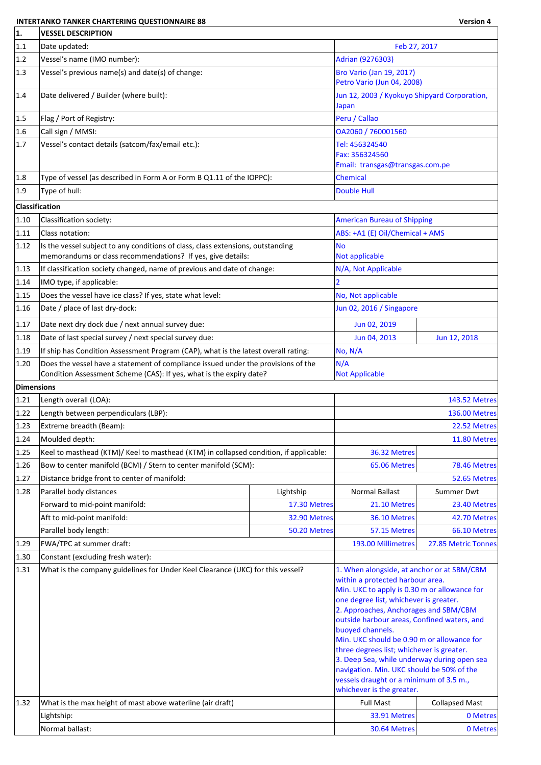## **INTERTANKO TANKER CHARTERING QUESTIONNAIRE 88 Version 4**

٦

| 1.                | <b>VESSEL DESCRIPTION</b>                                                                                                                                |                                                                                                                                                                                                                                                                                                                                                                                                                                                                                                       |                                            |                       |  |
|-------------------|----------------------------------------------------------------------------------------------------------------------------------------------------------|-------------------------------------------------------------------------------------------------------------------------------------------------------------------------------------------------------------------------------------------------------------------------------------------------------------------------------------------------------------------------------------------------------------------------------------------------------------------------------------------------------|--------------------------------------------|-----------------------|--|
| 1.1               | Date updated:                                                                                                                                            |                                                                                                                                                                                                                                                                                                                                                                                                                                                                                                       | Feb 27, 2017                               |                       |  |
| 1.2               | Vessel's name (IMO number):                                                                                                                              |                                                                                                                                                                                                                                                                                                                                                                                                                                                                                                       | Adrian (9276303)                           |                       |  |
| 1.3               | Vessel's previous name(s) and date(s) of change:                                                                                                         | Bro Vario (Jan 19, 2017)<br>Petro Vario (Jun 04, 2008)                                                                                                                                                                                                                                                                                                                                                                                                                                                |                                            |                       |  |
| 1.4               | Date delivered / Builder (where built):                                                                                                                  | Jun 12, 2003 / Kyokuyo Shipyard Corporation,<br>Japan                                                                                                                                                                                                                                                                                                                                                                                                                                                 |                                            |                       |  |
| 1.5               | Flag / Port of Registry:                                                                                                                                 |                                                                                                                                                                                                                                                                                                                                                                                                                                                                                                       | Peru / Callao                              |                       |  |
| 1.6               | Call sign / MMSI:                                                                                                                                        |                                                                                                                                                                                                                                                                                                                                                                                                                                                                                                       | OA2060 / 760001560                         |                       |  |
| 1.7               | Vessel's contact details (satcom/fax/email etc.):                                                                                                        |                                                                                                                                                                                                                                                                                                                                                                                                                                                                                                       | Tel: 456324540                             |                       |  |
|                   |                                                                                                                                                          |                                                                                                                                                                                                                                                                                                                                                                                                                                                                                                       | Fax: 356324560                             |                       |  |
|                   |                                                                                                                                                          |                                                                                                                                                                                                                                                                                                                                                                                                                                                                                                       | Email: transgas@transgas.com.pe            |                       |  |
| 1.8 <br> 1.9      | Type of vessel (as described in Form A or Form B Q1.11 of the IOPPC):<br>Type of hull:                                                                   |                                                                                                                                                                                                                                                                                                                                                                                                                                                                                                       | <b>Chemical</b><br><b>Double Hull</b>      |                       |  |
|                   |                                                                                                                                                          |                                                                                                                                                                                                                                                                                                                                                                                                                                                                                                       |                                            |                       |  |
| Classification    |                                                                                                                                                          |                                                                                                                                                                                                                                                                                                                                                                                                                                                                                                       |                                            |                       |  |
| 1.10              | Classification society:                                                                                                                                  |                                                                                                                                                                                                                                                                                                                                                                                                                                                                                                       | <b>American Bureau of Shipping</b>         |                       |  |
| 1.11              | Class notation:                                                                                                                                          |                                                                                                                                                                                                                                                                                                                                                                                                                                                                                                       | ABS: +A1 (E) Oil/Chemical + AMS            |                       |  |
| 1.12              | Is the vessel subject to any conditions of class, class extensions, outstanding<br>memorandums or class recommendations? If yes, give details:           |                                                                                                                                                                                                                                                                                                                                                                                                                                                                                                       | <b>No</b><br>Not applicable                |                       |  |
| 1.13              | If classification society changed, name of previous and date of change:                                                                                  |                                                                                                                                                                                                                                                                                                                                                                                                                                                                                                       | N/A, Not Applicable                        |                       |  |
| 1.14              | IMO type, if applicable:                                                                                                                                 |                                                                                                                                                                                                                                                                                                                                                                                                                                                                                                       | 2                                          |                       |  |
| 1.15              | Does the vessel have ice class? If yes, state what level:                                                                                                |                                                                                                                                                                                                                                                                                                                                                                                                                                                                                                       | No, Not applicable                         |                       |  |
| 1.16              | Date / place of last dry-dock:                                                                                                                           |                                                                                                                                                                                                                                                                                                                                                                                                                                                                                                       | Jun 02, 2016 / Singapore                   |                       |  |
| 1.17              | Date next dry dock due / next annual survey due:                                                                                                         | Jun 02, 2019                                                                                                                                                                                                                                                                                                                                                                                                                                                                                          |                                            |                       |  |
| 1.18              | Date of last special survey / next special survey due:                                                                                                   |                                                                                                                                                                                                                                                                                                                                                                                                                                                                                                       | Jun 04, 2013                               | Jun 12, 2018          |  |
| 1.19              | If ship has Condition Assessment Program (CAP), what is the latest overall rating:                                                                       |                                                                                                                                                                                                                                                                                                                                                                                                                                                                                                       | No, N/A                                    |                       |  |
| 1.20              | Does the vessel have a statement of compliance issued under the provisions of the<br>Condition Assessment Scheme (CAS): If yes, what is the expiry date? |                                                                                                                                                                                                                                                                                                                                                                                                                                                                                                       | N/A<br><b>Not Applicable</b>               |                       |  |
| <b>Dimensions</b> |                                                                                                                                                          |                                                                                                                                                                                                                                                                                                                                                                                                                                                                                                       |                                            |                       |  |
| 1.21              | Length overall (LOA):                                                                                                                                    |                                                                                                                                                                                                                                                                                                                                                                                                                                                                                                       |                                            | <b>143.52 Metres</b>  |  |
| 1.22              | Length between perpendiculars (LBP):                                                                                                                     |                                                                                                                                                                                                                                                                                                                                                                                                                                                                                                       |                                            | <b>136.00 Metres</b>  |  |
| 1.23              | Extreme breadth (Beam):                                                                                                                                  |                                                                                                                                                                                                                                                                                                                                                                                                                                                                                                       |                                            | 22.52 Metres          |  |
| 1.24              | Moulded depth:                                                                                                                                           |                                                                                                                                                                                                                                                                                                                                                                                                                                                                                                       |                                            | 11.80 Metres          |  |
| 1.25              | Keel to masthead (KTM)/ Keel to masthead (KTM) in collapsed condition, if applicable:                                                                    |                                                                                                                                                                                                                                                                                                                                                                                                                                                                                                       | 36.32 Metres                               |                       |  |
| 1.26              | Bow to center manifold (BCM) / Stern to center manifold (SCM):                                                                                           |                                                                                                                                                                                                                                                                                                                                                                                                                                                                                                       | 65.06 Metres                               | 78.46 Metres          |  |
| 1.27              | Distance bridge front to center of manifold:                                                                                                             |                                                                                                                                                                                                                                                                                                                                                                                                                                                                                                       |                                            | 52.65 Metres          |  |
| 1.28              | Parallel body distances                                                                                                                                  | Lightship                                                                                                                                                                                                                                                                                                                                                                                                                                                                                             | <b>Normal Ballast</b>                      | Summer Dwt            |  |
|                   | Forward to mid-point manifold:                                                                                                                           | 17.30 Metres                                                                                                                                                                                                                                                                                                                                                                                                                                                                                          | 21.10 Metres                               | 23.40 Metres          |  |
|                   | Aft to mid-point manifold:                                                                                                                               | 32.90 Metres                                                                                                                                                                                                                                                                                                                                                                                                                                                                                          | 36.10 Metres                               | 42.70 Metres          |  |
|                   | Parallel body length:<br>FWA/TPC at summer draft:                                                                                                        | 50.20 Metres                                                                                                                                                                                                                                                                                                                                                                                                                                                                                          | 57.15 Metres                               | 66.10 Metres          |  |
| 1.29<br>1.30      | Constant (excluding fresh water):                                                                                                                        |                                                                                                                                                                                                                                                                                                                                                                                                                                                                                                       | 193.00 Millimetres                         | 27.85 Metric Tonnes   |  |
| 1.31              | What is the company guidelines for Under Keel Clearance (UKC) for this vessel?                                                                           |                                                                                                                                                                                                                                                                                                                                                                                                                                                                                                       | 1. When alongside, at anchor or at SBM/CBM |                       |  |
|                   |                                                                                                                                                          | within a protected harbour area.<br>Min. UKC to apply is 0.30 m or allowance for<br>one degree list, whichever is greater.<br>2. Approaches, Anchorages and SBM/CBM<br>outside harbour areas, Confined waters, and<br>buoyed channels.<br>Min. UKC should be 0.90 m or allowance for<br>three degrees list; whichever is greater.<br>3. Deep Sea, while underway during open sea<br>navigation. Min. UKC should be 50% of the<br>vessels draught or a minimum of 3.5 m.,<br>whichever is the greater. |                                            |                       |  |
| 1.32              | What is the max height of mast above waterline (air draft)                                                                                               |                                                                                                                                                                                                                                                                                                                                                                                                                                                                                                       | <b>Full Mast</b>                           | <b>Collapsed Mast</b> |  |
|                   | Lightship:                                                                                                                                               |                                                                                                                                                                                                                                                                                                                                                                                                                                                                                                       | 33.91 Metres                               | 0 Metres              |  |
|                   | Normal ballast:                                                                                                                                          |                                                                                                                                                                                                                                                                                                                                                                                                                                                                                                       | 30.64 Metres                               | 0 Metres              |  |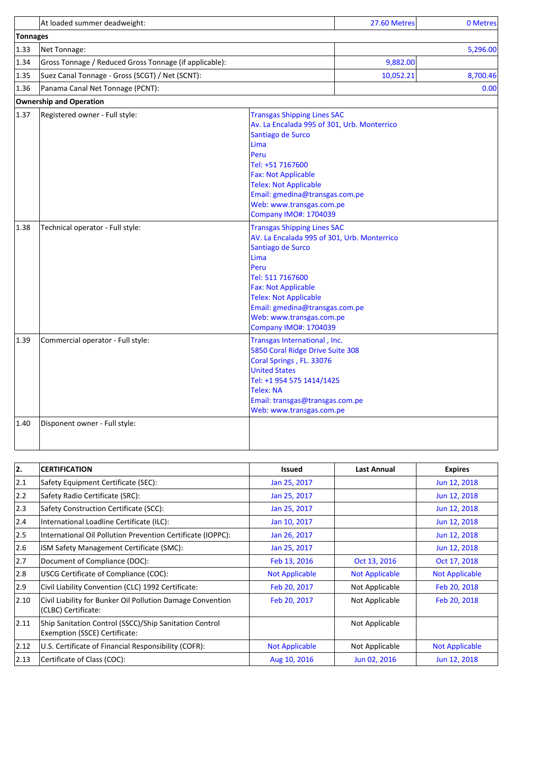|                 | At loaded summer deadweight:                           |                                                                                                                                                                                                                                                                                                        | 27.60 Metres | 0 Metres |
|-----------------|--------------------------------------------------------|--------------------------------------------------------------------------------------------------------------------------------------------------------------------------------------------------------------------------------------------------------------------------------------------------------|--------------|----------|
| <b>Tonnages</b> |                                                        |                                                                                                                                                                                                                                                                                                        |              |          |
| 1.33            | Net Tonnage:                                           |                                                                                                                                                                                                                                                                                                        |              | 5,296.00 |
| 1.34            | Gross Tonnage / Reduced Gross Tonnage (if applicable): |                                                                                                                                                                                                                                                                                                        | 9,882.00     |          |
| 1.35            | Suez Canal Tonnage - Gross (SCGT) / Net (SCNT):        |                                                                                                                                                                                                                                                                                                        | 10,052.21    | 8,700.46 |
| 1.36            | Panama Canal Net Tonnage (PCNT):                       |                                                                                                                                                                                                                                                                                                        |              | 0.00     |
|                 | <b>Ownership and Operation</b>                         |                                                                                                                                                                                                                                                                                                        |              |          |
| 1.37            | Registered owner - Full style:                         | <b>Transgas Shipping Lines SAC</b><br>Av. La Encalada 995 of 301, Urb. Monterrico<br>Santiago de Surco<br>Lima<br>Peru<br>Tel: +51 7167600<br><b>Fax: Not Applicable</b><br><b>Telex: Not Applicable</b><br>Email: gmedina@transgas.com.pe<br>Web: www.transgas.com.pe<br><b>Company IMO#: 1704039</b> |              |          |
| 1.38            | Technical operator - Full style:                       | <b>Transgas Shipping Lines SAC</b><br>AV. La Encalada 995 of 301, Urb. Monterrico<br>Santiago de Surco<br>Lima<br>Peru<br>Tel: 511 7167600<br><b>Fax: Not Applicable</b><br><b>Telex: Not Applicable</b><br>Email: gmedina@transgas.com.pe<br>Web: www.transgas.com.pe<br><b>Company IMO#: 1704039</b> |              |          |
| 1.39            | Commercial operator - Full style:                      | Transgas International, Inc.<br>5850 Coral Ridge Drive Suite 308<br>Coral Springs, FL. 33076<br><b>United States</b><br>Tel: +1 954 575 1414/1425<br><b>Telex: NA</b><br>Email: transgas@transgas.com.pe<br>Web: www.transgas.com.pe                                                                   |              |          |
| 1.40            | Disponent owner - Full style:                          |                                                                                                                                                                                                                                                                                                        |              |          |

| 2.             | <b>CERTIFICATION</b>                                                                    | <b>Issued</b>         | <b>Last Annual</b>    | <b>Expires</b>        |
|----------------|-----------------------------------------------------------------------------------------|-----------------------|-----------------------|-----------------------|
| 2.1            | Safety Equipment Certificate (SEC):                                                     | Jan 25, 2017          |                       | Jun 12, 2018          |
| 2.2            | Safety Radio Certificate (SRC):                                                         | Jan 25, 2017          |                       | Jun 12, 2018          |
| $ 2.3\rangle$  | Safety Construction Certificate (SCC):                                                  | Jan 25, 2017          |                       | Jun 12, 2018          |
| 2.4            | International Loadline Certificate (ILC):                                               | Jan 10, 2017          |                       | Jun 12, 2018          |
| 2.5            | International Oil Pollution Prevention Certificate (IOPPC):                             | Jan 26, 2017          |                       | Jun 12, 2018          |
| 2.6            | ISM Safety Management Certificate (SMC):                                                | Jan 25, 2017          |                       | Jun 12, 2018          |
| 2.7            | Document of Compliance (DOC):                                                           | Feb 13, 2016          | Oct 13, 2016          | Oct 17, 2018          |
| 2.8            | USCG Certificate of Compliance (COC):                                                   | <b>Not Applicable</b> | <b>Not Applicable</b> | <b>Not Applicable</b> |
| 2.9            | Civil Liability Convention (CLC) 1992 Certificate:                                      | Feb 20, 2017          | Not Applicable        | Feb 20, 2018          |
| $ 2.10\rangle$ | Civil Liability for Bunker Oil Pollution Damage Convention<br>(CLBC) Certificate:       | Feb 20, 2017          | Not Applicable        | Feb 20, 2018          |
| 2.11           | Ship Sanitation Control (SSCC)/Ship Sanitation Control<br>Exemption (SSCE) Certificate: |                       | Not Applicable        |                       |
| 2.12           | U.S. Certificate of Financial Responsibility (COFR):                                    | <b>Not Applicable</b> | Not Applicable        | <b>Not Applicable</b> |
| 2.13           | Certificate of Class (COC):                                                             | Aug 10, 2016          | Jun 02, 2016          | Jun 12, 2018          |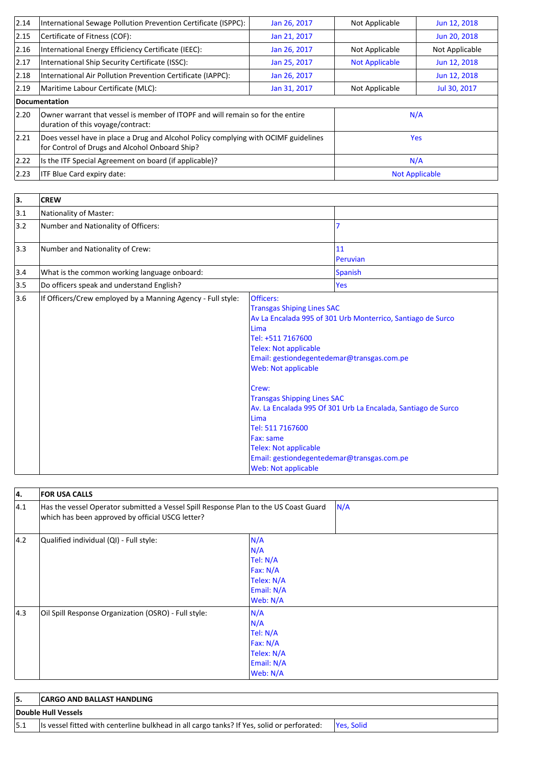| 2.14 | International Sewage Pollution Prevention Certificate (ISPPC):                                                                        | Jan 26, 2017 | Not Applicable        | Jun 12, 2018   |
|------|---------------------------------------------------------------------------------------------------------------------------------------|--------------|-----------------------|----------------|
| 2.15 | Certificate of Fitness (COF):                                                                                                         | Jan 21, 2017 |                       | Jun 20, 2018   |
| 2.16 | International Energy Efficiency Certificate (IEEC):                                                                                   | Jan 26, 2017 | Not Applicable        | Not Applicable |
| 2.17 | International Ship Security Certificate (ISSC):                                                                                       | Jan 25, 2017 | <b>Not Applicable</b> | Jun 12, 2018   |
| 2.18 | International Air Pollution Prevention Certificate (IAPPC):                                                                           | Jan 26, 2017 |                       | Jun 12, 2018   |
| 2.19 | Maritime Labour Certificate (MLC):                                                                                                    | Jan 31, 2017 | Not Applicable        | Jul 30, 2017   |
|      | Documentation                                                                                                                         |              |                       |                |
| 2.20 | Owner warrant that vessel is member of ITOPF and will remain so for the entire<br>duration of this voyage/contract:                   |              | N/A                   |                |
| 2.21 | Does vessel have in place a Drug and Alcohol Policy complying with OCIMF guidelines<br>for Control of Drugs and Alcohol Onboard Ship? |              | <b>Yes</b>            |                |
| 2.22 | Is the ITF Special Agreement on board (if applicable)?                                                                                | N/A          |                       |                |
| 2.23 | <b>ITF Blue Card expiry date:</b>                                                                                                     |              | <b>Not Applicable</b> |                |

| 3.  | <b>CREW</b>                                                 |                                                                                                                                                                                                                                                                                                                                                                                      |                                                                                                                              |
|-----|-------------------------------------------------------------|--------------------------------------------------------------------------------------------------------------------------------------------------------------------------------------------------------------------------------------------------------------------------------------------------------------------------------------------------------------------------------------|------------------------------------------------------------------------------------------------------------------------------|
| 3.1 | Nationality of Master:                                      |                                                                                                                                                                                                                                                                                                                                                                                      |                                                                                                                              |
| 3.2 | Number and Nationality of Officers:                         |                                                                                                                                                                                                                                                                                                                                                                                      | 7                                                                                                                            |
| 3.3 | Number and Nationality of Crew:                             |                                                                                                                                                                                                                                                                                                                                                                                      | 11<br>Peruvian                                                                                                               |
| 3.4 | What is the common working language onboard:                |                                                                                                                                                                                                                                                                                                                                                                                      | <b>Spanish</b>                                                                                                               |
| 3.5 | Do officers speak and understand English?                   |                                                                                                                                                                                                                                                                                                                                                                                      | Yes                                                                                                                          |
| 3.6 | If Officers/Crew employed by a Manning Agency - Full style: | Officers:<br><b>Transgas Shiping Lines SAC</b><br>Lima<br>Tel: +511 7167600<br><b>Telex: Not applicable</b><br>Email: gestiondegentedemar@transgas.com.pe<br><b>Web: Not applicable</b><br>Crew:<br><b>Transgas Shipping Lines SAC</b><br>Lima<br>Tel: 511 7167600<br>Fax: same<br><b>Telex: Not applicable</b><br>Email: gestiondegentedemar@transgas.com.pe<br>Web: Not applicable | Av La Encalada 995 of 301 Urb Monterrico, Santiago de Surco<br>Av. La Encalada 995 Of 301 Urb La Encalada, Santiago de Surco |

| 4.            | <b>FOR USA CALLS</b>                                                                                                                     |                                                                            |
|---------------|------------------------------------------------------------------------------------------------------------------------------------------|----------------------------------------------------------------------------|
| 4.1           | Has the vessel Operator submitted a Vessel Spill Response Plan to the US Coast Guard<br>which has been approved by official USCG letter? | N/A                                                                        |
| $ 4.2\rangle$ | Qualified individual (QI) - Full style:                                                                                                  | N/A<br>N/A<br>Tel: N/A<br>Fax: N/A<br>Telex: N/A<br>Email: N/A<br>Web: N/A |
| $ 4.3\rangle$ | Oil Spill Response Organization (OSRO) - Full style:                                                                                     | N/A<br>N/A<br>Tel: N/A<br>Fax: N/A<br>Telex: N/A<br>Email: N/A<br>Web: N/A |

| <b>CARGO AND BALLAST HANDLING</b>                                                          |                    |
|--------------------------------------------------------------------------------------------|--------------------|
| Double Hull Vessels                                                                        |                    |
| Is vessel fitted with centerline bulkhead in all cargo tanks? If Yes, solid or perforated: | <b>Pres. Solid</b> |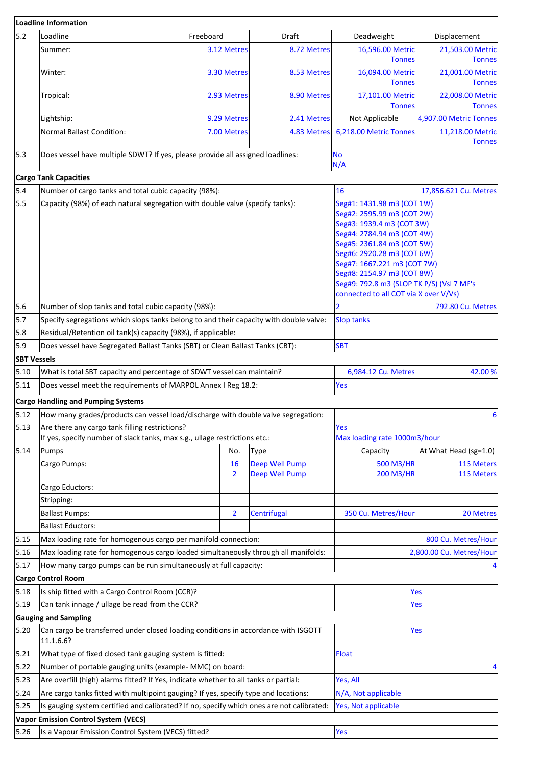|                    | Loadline Information                                                                                                         |                                                                                                                                                                                                                                                                                                                                    |                                  |                                     |                                   |
|--------------------|------------------------------------------------------------------------------------------------------------------------------|------------------------------------------------------------------------------------------------------------------------------------------------------------------------------------------------------------------------------------------------------------------------------------------------------------------------------------|----------------------------------|-------------------------------------|-----------------------------------|
| 5.2                | Loadline                                                                                                                     | Freeboard                                                                                                                                                                                                                                                                                                                          | Draft                            | Deadweight                          | Displacement                      |
|                    | Summer:                                                                                                                      | 3.12 Metres                                                                                                                                                                                                                                                                                                                        | 8.72 Metres                      | 16,596.00 Metric<br><b>Tonnes</b>   | 21,503.00 Metric<br><b>Tonnes</b> |
|                    | Winter:                                                                                                                      | 3.30 Metres                                                                                                                                                                                                                                                                                                                        | 8.53 Metres                      | 16,094.00 Metric<br><b>Tonnes</b>   | 21,001.00 Metric<br><b>Tonnes</b> |
|                    | Tropical:                                                                                                                    | 2.93 Metres                                                                                                                                                                                                                                                                                                                        | 8.90 Metres                      | 17,101.00 Metric<br><b>Tonnes</b>   | 22,008.00 Metric<br><b>Tonnes</b> |
|                    | Lightship:                                                                                                                   | 9.29 Metres                                                                                                                                                                                                                                                                                                                        | 2.41 Metres                      | Not Applicable                      | 4,907.00 Metric Tonnes            |
|                    | <b>Normal Ballast Condition:</b>                                                                                             | 7.00 Metres                                                                                                                                                                                                                                                                                                                        | 4.83 Metres                      | 6,218.00 Metric Tonnes              | 11,218.00 Metric<br><b>Tonnes</b> |
| 5.3                | Does vessel have multiple SDWT? If yes, please provide all assigned loadlines:                                               |                                                                                                                                                                                                                                                                                                                                    |                                  | <b>No</b><br>N/A                    |                                   |
|                    | <b>Cargo Tank Capacities</b>                                                                                                 |                                                                                                                                                                                                                                                                                                                                    |                                  |                                     |                                   |
| 5.4                | Number of cargo tanks and total cubic capacity (98%):                                                                        |                                                                                                                                                                                                                                                                                                                                    |                                  | 16                                  | 17,856.621 Cu. Metres             |
| 5.5                | Capacity (98%) of each natural segregation with double valve (specify tanks):                                                | Seg#1: 1431.98 m3 (COT 1W)<br>Seg#2: 2595.99 m3 (COT 2W)<br>Seg#3: 1939.4 m3 (COT 3W)<br>Seg#4: 2784.94 m3 (COT 4W)<br>Seg#5: 2361.84 m3 (COT 5W)<br>Seg#6: 2920.28 m3 (COT 6W)<br>Seg#7: 1667.221 m3 (COT 7W)<br>Seg#8: 2154.97 m3 (COT 8W)<br>Seg#9: 792.8 m3 (SLOP TK P/S) (Vsl 7 MF's<br>connected to all COT via X over V/Vs) |                                  |                                     |                                   |
| 5.6                | Number of slop tanks and total cubic capacity (98%):                                                                         | $\overline{2}$                                                                                                                                                                                                                                                                                                                     | 792.80 Cu. Metres                |                                     |                                   |
| 5.7                | Specify segregations which slops tanks belong to and their capacity with double valve:                                       |                                                                                                                                                                                                                                                                                                                                    |                                  | <b>Slop tanks</b>                   |                                   |
| 5.8                | Residual/Retention oil tank(s) capacity (98%), if applicable:                                                                |                                                                                                                                                                                                                                                                                                                                    |                                  |                                     |                                   |
| 5.9                | Does vessel have Segregated Ballast Tanks (SBT) or Clean Ballast Tanks (CBT):                                                |                                                                                                                                                                                                                                                                                                                                    |                                  | <b>SBT</b>                          |                                   |
| <b>SBT Vessels</b> |                                                                                                                              |                                                                                                                                                                                                                                                                                                                                    |                                  |                                     |                                   |
| 5.10               | What is total SBT capacity and percentage of SDWT vessel can maintain?                                                       |                                                                                                                                                                                                                                                                                                                                    | 6,984.12 Cu. Metres              | 42.00%                              |                                   |
| 5.11               | Does vessel meet the requirements of MARPOL Annex I Reg 18.2:                                                                |                                                                                                                                                                                                                                                                                                                                    |                                  | Yes                                 |                                   |
|                    | <b>Cargo Handling and Pumping Systems</b>                                                                                    |                                                                                                                                                                                                                                                                                                                                    |                                  |                                     |                                   |
| 5.12               | How many grades/products can vessel load/discharge with double valve segregation:                                            |                                                                                                                                                                                                                                                                                                                                    |                                  |                                     | 6                                 |
| 5.13               | Are there any cargo tank filling restrictions?<br>If yes, specify number of slack tanks, max s.g., ullage restrictions etc.: |                                                                                                                                                                                                                                                                                                                                    |                                  | Yes<br>Max loading rate 1000m3/hour |                                   |
| 5.14               | Pumps                                                                                                                        | No.                                                                                                                                                                                                                                                                                                                                | Type                             | Capacity                            | At What Head (sg=1.0)             |
|                    | Cargo Pumps:                                                                                                                 | 16<br>$\overline{2}$                                                                                                                                                                                                                                                                                                               | Deep Well Pump<br>Deep Well Pump | 500 M3/HR<br>200 M3/HR              | 115 Meters<br>115 Meters          |
|                    | Cargo Eductors:                                                                                                              |                                                                                                                                                                                                                                                                                                                                    |                                  |                                     |                                   |
|                    | Stripping:                                                                                                                   |                                                                                                                                                                                                                                                                                                                                    |                                  |                                     |                                   |
|                    | <b>Ballast Pumps:</b>                                                                                                        | $\overline{2}$                                                                                                                                                                                                                                                                                                                     | Centrifugal                      | 350 Cu. Metres/Hour                 | 20 Metres                         |
|                    | <b>Ballast Eductors:</b>                                                                                                     |                                                                                                                                                                                                                                                                                                                                    |                                  |                                     |                                   |
| 5.15               | Max loading rate for homogenous cargo per manifold connection:                                                               |                                                                                                                                                                                                                                                                                                                                    |                                  |                                     | 800 Cu. Metres/Hour               |
| 5.16               | Max loading rate for homogenous cargo loaded simultaneously through all manifolds:                                           |                                                                                                                                                                                                                                                                                                                                    |                                  |                                     | 2,800.00 Cu. Metres/Hour          |
| 5.17               | How many cargo pumps can be run simultaneously at full capacity:                                                             |                                                                                                                                                                                                                                                                                                                                    |                                  |                                     |                                   |
|                    | <b>Cargo Control Room</b>                                                                                                    |                                                                                                                                                                                                                                                                                                                                    |                                  |                                     |                                   |
| 5.18               | Is ship fitted with a Cargo Control Room (CCR)?                                                                              |                                                                                                                                                                                                                                                                                                                                    |                                  |                                     | Yes                               |
| 5.19               | Can tank innage / ullage be read from the CCR?                                                                               |                                                                                                                                                                                                                                                                                                                                    |                                  |                                     | <b>Yes</b>                        |
|                    | <b>Gauging and Sampling</b>                                                                                                  |                                                                                                                                                                                                                                                                                                                                    |                                  |                                     |                                   |
| 5.20               | Can cargo be transferred under closed loading conditions in accordance with ISGOTT<br>11.1.6.6?                              |                                                                                                                                                                                                                                                                                                                                    |                                  |                                     | Yes                               |
| 5.21               | What type of fixed closed tank gauging system is fitted:                                                                     |                                                                                                                                                                                                                                                                                                                                    |                                  | <b>Float</b>                        |                                   |
| 5.22               | Number of portable gauging units (example- MMC) on board:                                                                    |                                                                                                                                                                                                                                                                                                                                    |                                  |                                     |                                   |
| 5.23               | Are overfill (high) alarms fitted? If Yes, indicate whether to all tanks or partial:                                         |                                                                                                                                                                                                                                                                                                                                    |                                  | Yes, All                            |                                   |
| 5.24               | Are cargo tanks fitted with multipoint gauging? If yes, specify type and locations:                                          |                                                                                                                                                                                                                                                                                                                                    |                                  | N/A, Not applicable                 |                                   |
| 5.25               | Is gauging system certified and calibrated? If no, specify which ones are not calibrated:                                    |                                                                                                                                                                                                                                                                                                                                    |                                  | Yes, Not applicable                 |                                   |
|                    | <b>Vapor Emission Control System (VECS)</b>                                                                                  |                                                                                                                                                                                                                                                                                                                                    |                                  |                                     |                                   |
| 5.26               | Is a Vapour Emission Control System (VECS) fitted?                                                                           |                                                                                                                                                                                                                                                                                                                                    | <b>Yes</b>                       |                                     |                                   |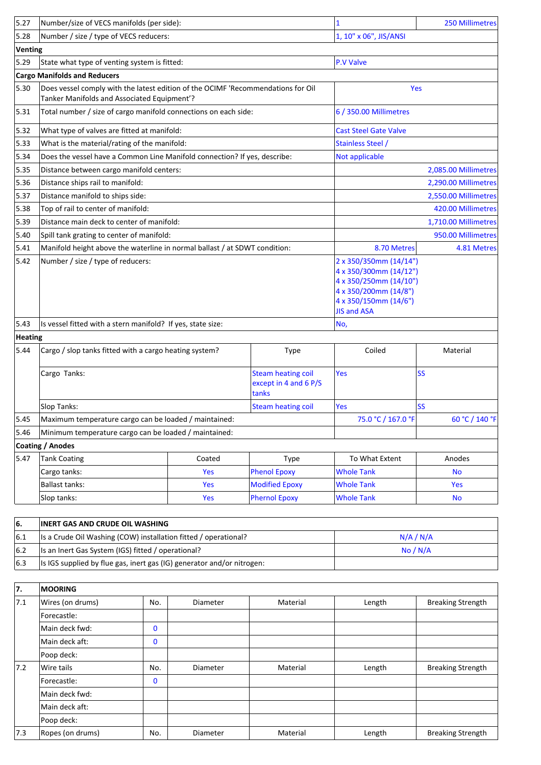| 1, 10" x 06", JIS/ANSI<br>Number / size / type of VECS reducers:<br>Venting<br>State what type of venting system is fitted:<br><b>P.V Valve</b><br><b>Cargo Manifolds and Reducers</b><br>Does vessel comply with the latest edition of the OCIMF 'Recommendations for Oil<br>Yes<br>Tanker Manifolds and Associated Equipment'?<br>Total number / size of cargo manifold connections on each side:<br>6 / 350.00 Millimetres<br>What type of valves are fitted at manifold:<br><b>Cast Steel Gate Valve</b><br>What is the material/rating of the manifold:<br><b>Stainless Steel /</b><br>Does the vessel have a Common Line Manifold connection? If yes, describe:<br>Not applicable<br>Distance between cargo manifold centers:<br>2,085.00 Millimetres<br>Distance ships rail to manifold:<br>2,290.00 Millimetres<br>Distance manifold to ships side:<br>2,550.00 Millimetres<br>Top of rail to center of manifold:<br>420.00 Millimetres<br>5.38<br>Distance main deck to center of manifold:<br>1,710.00 Millimetres<br>950.00 Millimetres<br>5.40<br>Spill tank grating to center of manifold:<br>Manifold height above the waterline in normal ballast / at SDWT condition:<br>8.70 Metres<br>4.81 Metres<br>Number / size / type of reducers:<br>2 x 350/350mm (14/14")<br>5.42<br>4 x 350/300mm (14/12")<br>4 x 350/250mm (14/10")<br>4 x 350/200mm (14/8")<br>4 x 350/150mm (14/6")<br><b>JIS and ASA</b><br>Is vessel fitted with a stern manifold? If yes, state size:<br>No,<br>Heating<br>5.44<br>Coiled<br>Cargo / slop tanks fitted with a cargo heating system?<br>Material<br><b>Type</b><br><b>SS</b><br><b>Steam heating coil</b><br>Cargo Tanks:<br>Yes<br>except in 4 and 6 P/S<br>tanks<br><b>SS</b><br>Slop Tanks:<br><b>Steam heating coil</b><br>Yes<br>75.0 °C / 167.0 °F<br>5.45<br>Maximum temperature cargo can be loaded / maintained:<br>5.46<br>Minimum temperature cargo can be loaded / maintained:<br>Coating / Anodes<br>5.47<br><b>Tank Coating</b><br>Coated<br>Anodes<br><b>Type</b><br>To What Extent<br><b>Phenol Epoxy</b><br>Cargo tanks:<br>Yes<br><b>Whole Tank</b><br><b>No</b><br><b>Ballast tanks:</b><br>Yes<br><b>Modified Epoxy</b><br><b>Whole Tank</b><br>Yes<br><b>Phernol Epoxy</b><br><b>Whole Tank</b><br>Slop tanks:<br>Yes<br><b>No</b> | 5.27 | Number/size of VECS manifolds (per side): |  |  | $\mathbf{1}$ | <b>250 Millimetres</b> |
|--------------------------------------------------------------------------------------------------------------------------------------------------------------------------------------------------------------------------------------------------------------------------------------------------------------------------------------------------------------------------------------------------------------------------------------------------------------------------------------------------------------------------------------------------------------------------------------------------------------------------------------------------------------------------------------------------------------------------------------------------------------------------------------------------------------------------------------------------------------------------------------------------------------------------------------------------------------------------------------------------------------------------------------------------------------------------------------------------------------------------------------------------------------------------------------------------------------------------------------------------------------------------------------------------------------------------------------------------------------------------------------------------------------------------------------------------------------------------------------------------------------------------------------------------------------------------------------------------------------------------------------------------------------------------------------------------------------------------------------------------------------------------------------------------------------------------------------------------------------------------------------------------------------------------------------------------------------------------------------------------------------------------------------------------------------------------------------------------------------------------------------------------------------------------------------------------------------------------------------------------------------------------------------------------------|------|-------------------------------------------|--|--|--------------|------------------------|
|                                                                                                                                                                                                                                                                                                                                                                                                                                                                                                                                                                                                                                                                                                                                                                                                                                                                                                                                                                                                                                                                                                                                                                                                                                                                                                                                                                                                                                                                                                                                                                                                                                                                                                                                                                                                                                                                                                                                                                                                                                                                                                                                                                                                                                                                                                        | 5.28 |                                           |  |  |              |                        |
|                                                                                                                                                                                                                                                                                                                                                                                                                                                                                                                                                                                                                                                                                                                                                                                                                                                                                                                                                                                                                                                                                                                                                                                                                                                                                                                                                                                                                                                                                                                                                                                                                                                                                                                                                                                                                                                                                                                                                                                                                                                                                                                                                                                                                                                                                                        |      |                                           |  |  |              |                        |
|                                                                                                                                                                                                                                                                                                                                                                                                                                                                                                                                                                                                                                                                                                                                                                                                                                                                                                                                                                                                                                                                                                                                                                                                                                                                                                                                                                                                                                                                                                                                                                                                                                                                                                                                                                                                                                                                                                                                                                                                                                                                                                                                                                                                                                                                                                        | 5.29 |                                           |  |  |              |                        |
|                                                                                                                                                                                                                                                                                                                                                                                                                                                                                                                                                                                                                                                                                                                                                                                                                                                                                                                                                                                                                                                                                                                                                                                                                                                                                                                                                                                                                                                                                                                                                                                                                                                                                                                                                                                                                                                                                                                                                                                                                                                                                                                                                                                                                                                                                                        |      |                                           |  |  |              |                        |
|                                                                                                                                                                                                                                                                                                                                                                                                                                                                                                                                                                                                                                                                                                                                                                                                                                                                                                                                                                                                                                                                                                                                                                                                                                                                                                                                                                                                                                                                                                                                                                                                                                                                                                                                                                                                                                                                                                                                                                                                                                                                                                                                                                                                                                                                                                        | 5.30 |                                           |  |  |              |                        |
|                                                                                                                                                                                                                                                                                                                                                                                                                                                                                                                                                                                                                                                                                                                                                                                                                                                                                                                                                                                                                                                                                                                                                                                                                                                                                                                                                                                                                                                                                                                                                                                                                                                                                                                                                                                                                                                                                                                                                                                                                                                                                                                                                                                                                                                                                                        | 5.31 |                                           |  |  |              |                        |
|                                                                                                                                                                                                                                                                                                                                                                                                                                                                                                                                                                                                                                                                                                                                                                                                                                                                                                                                                                                                                                                                                                                                                                                                                                                                                                                                                                                                                                                                                                                                                                                                                                                                                                                                                                                                                                                                                                                                                                                                                                                                                                                                                                                                                                                                                                        | 5.32 |                                           |  |  |              |                        |
|                                                                                                                                                                                                                                                                                                                                                                                                                                                                                                                                                                                                                                                                                                                                                                                                                                                                                                                                                                                                                                                                                                                                                                                                                                                                                                                                                                                                                                                                                                                                                                                                                                                                                                                                                                                                                                                                                                                                                                                                                                                                                                                                                                                                                                                                                                        | 5.33 |                                           |  |  |              |                        |
|                                                                                                                                                                                                                                                                                                                                                                                                                                                                                                                                                                                                                                                                                                                                                                                                                                                                                                                                                                                                                                                                                                                                                                                                                                                                                                                                                                                                                                                                                                                                                                                                                                                                                                                                                                                                                                                                                                                                                                                                                                                                                                                                                                                                                                                                                                        | 5.34 |                                           |  |  |              |                        |
|                                                                                                                                                                                                                                                                                                                                                                                                                                                                                                                                                                                                                                                                                                                                                                                                                                                                                                                                                                                                                                                                                                                                                                                                                                                                                                                                                                                                                                                                                                                                                                                                                                                                                                                                                                                                                                                                                                                                                                                                                                                                                                                                                                                                                                                                                                        | 5.35 |                                           |  |  |              |                        |
|                                                                                                                                                                                                                                                                                                                                                                                                                                                                                                                                                                                                                                                                                                                                                                                                                                                                                                                                                                                                                                                                                                                                                                                                                                                                                                                                                                                                                                                                                                                                                                                                                                                                                                                                                                                                                                                                                                                                                                                                                                                                                                                                                                                                                                                                                                        | 5.36 |                                           |  |  |              |                        |
|                                                                                                                                                                                                                                                                                                                                                                                                                                                                                                                                                                                                                                                                                                                                                                                                                                                                                                                                                                                                                                                                                                                                                                                                                                                                                                                                                                                                                                                                                                                                                                                                                                                                                                                                                                                                                                                                                                                                                                                                                                                                                                                                                                                                                                                                                                        | 5.37 |                                           |  |  |              |                        |
|                                                                                                                                                                                                                                                                                                                                                                                                                                                                                                                                                                                                                                                                                                                                                                                                                                                                                                                                                                                                                                                                                                                                                                                                                                                                                                                                                                                                                                                                                                                                                                                                                                                                                                                                                                                                                                                                                                                                                                                                                                                                                                                                                                                                                                                                                                        |      |                                           |  |  |              |                        |
|                                                                                                                                                                                                                                                                                                                                                                                                                                                                                                                                                                                                                                                                                                                                                                                                                                                                                                                                                                                                                                                                                                                                                                                                                                                                                                                                                                                                                                                                                                                                                                                                                                                                                                                                                                                                                                                                                                                                                                                                                                                                                                                                                                                                                                                                                                        | 5.39 |                                           |  |  |              |                        |
|                                                                                                                                                                                                                                                                                                                                                                                                                                                                                                                                                                                                                                                                                                                                                                                                                                                                                                                                                                                                                                                                                                                                                                                                                                                                                                                                                                                                                                                                                                                                                                                                                                                                                                                                                                                                                                                                                                                                                                                                                                                                                                                                                                                                                                                                                                        |      |                                           |  |  |              |                        |
|                                                                                                                                                                                                                                                                                                                                                                                                                                                                                                                                                                                                                                                                                                                                                                                                                                                                                                                                                                                                                                                                                                                                                                                                                                                                                                                                                                                                                                                                                                                                                                                                                                                                                                                                                                                                                                                                                                                                                                                                                                                                                                                                                                                                                                                                                                        | 5.41 |                                           |  |  |              |                        |
|                                                                                                                                                                                                                                                                                                                                                                                                                                                                                                                                                                                                                                                                                                                                                                                                                                                                                                                                                                                                                                                                                                                                                                                                                                                                                                                                                                                                                                                                                                                                                                                                                                                                                                                                                                                                                                                                                                                                                                                                                                                                                                                                                                                                                                                                                                        |      |                                           |  |  |              |                        |
|                                                                                                                                                                                                                                                                                                                                                                                                                                                                                                                                                                                                                                                                                                                                                                                                                                                                                                                                                                                                                                                                                                                                                                                                                                                                                                                                                                                                                                                                                                                                                                                                                                                                                                                                                                                                                                                                                                                                                                                                                                                                                                                                                                                                                                                                                                        | 5.43 |                                           |  |  |              |                        |
|                                                                                                                                                                                                                                                                                                                                                                                                                                                                                                                                                                                                                                                                                                                                                                                                                                                                                                                                                                                                                                                                                                                                                                                                                                                                                                                                                                                                                                                                                                                                                                                                                                                                                                                                                                                                                                                                                                                                                                                                                                                                                                                                                                                                                                                                                                        |      |                                           |  |  |              |                        |
|                                                                                                                                                                                                                                                                                                                                                                                                                                                                                                                                                                                                                                                                                                                                                                                                                                                                                                                                                                                                                                                                                                                                                                                                                                                                                                                                                                                                                                                                                                                                                                                                                                                                                                                                                                                                                                                                                                                                                                                                                                                                                                                                                                                                                                                                                                        |      |                                           |  |  |              |                        |
|                                                                                                                                                                                                                                                                                                                                                                                                                                                                                                                                                                                                                                                                                                                                                                                                                                                                                                                                                                                                                                                                                                                                                                                                                                                                                                                                                                                                                                                                                                                                                                                                                                                                                                                                                                                                                                                                                                                                                                                                                                                                                                                                                                                                                                                                                                        |      |                                           |  |  |              |                        |
|                                                                                                                                                                                                                                                                                                                                                                                                                                                                                                                                                                                                                                                                                                                                                                                                                                                                                                                                                                                                                                                                                                                                                                                                                                                                                                                                                                                                                                                                                                                                                                                                                                                                                                                                                                                                                                                                                                                                                                                                                                                                                                                                                                                                                                                                                                        |      |                                           |  |  |              |                        |
|                                                                                                                                                                                                                                                                                                                                                                                                                                                                                                                                                                                                                                                                                                                                                                                                                                                                                                                                                                                                                                                                                                                                                                                                                                                                                                                                                                                                                                                                                                                                                                                                                                                                                                                                                                                                                                                                                                                                                                                                                                                                                                                                                                                                                                                                                                        |      |                                           |  |  |              | 60 °C / 140 °F         |
|                                                                                                                                                                                                                                                                                                                                                                                                                                                                                                                                                                                                                                                                                                                                                                                                                                                                                                                                                                                                                                                                                                                                                                                                                                                                                                                                                                                                                                                                                                                                                                                                                                                                                                                                                                                                                                                                                                                                                                                                                                                                                                                                                                                                                                                                                                        |      |                                           |  |  |              |                        |
|                                                                                                                                                                                                                                                                                                                                                                                                                                                                                                                                                                                                                                                                                                                                                                                                                                                                                                                                                                                                                                                                                                                                                                                                                                                                                                                                                                                                                                                                                                                                                                                                                                                                                                                                                                                                                                                                                                                                                                                                                                                                                                                                                                                                                                                                                                        |      |                                           |  |  |              |                        |
|                                                                                                                                                                                                                                                                                                                                                                                                                                                                                                                                                                                                                                                                                                                                                                                                                                                                                                                                                                                                                                                                                                                                                                                                                                                                                                                                                                                                                                                                                                                                                                                                                                                                                                                                                                                                                                                                                                                                                                                                                                                                                                                                                                                                                                                                                                        |      |                                           |  |  |              |                        |
|                                                                                                                                                                                                                                                                                                                                                                                                                                                                                                                                                                                                                                                                                                                                                                                                                                                                                                                                                                                                                                                                                                                                                                                                                                                                                                                                                                                                                                                                                                                                                                                                                                                                                                                                                                                                                                                                                                                                                                                                                                                                                                                                                                                                                                                                                                        |      |                                           |  |  |              |                        |
|                                                                                                                                                                                                                                                                                                                                                                                                                                                                                                                                                                                                                                                                                                                                                                                                                                                                                                                                                                                                                                                                                                                                                                                                                                                                                                                                                                                                                                                                                                                                                                                                                                                                                                                                                                                                                                                                                                                                                                                                                                                                                                                                                                                                                                                                                                        |      |                                           |  |  |              |                        |
|                                                                                                                                                                                                                                                                                                                                                                                                                                                                                                                                                                                                                                                                                                                                                                                                                                                                                                                                                                                                                                                                                                                                                                                                                                                                                                                                                                                                                                                                                                                                                                                                                                                                                                                                                                                                                                                                                                                                                                                                                                                                                                                                                                                                                                                                                                        |      |                                           |  |  |              |                        |

| 16.  | <b>INERT GAS AND CRUDE OIL WASHING</b>                                 |          |
|------|------------------------------------------------------------------------|----------|
| 6.1  | Is a Crude Oil Washing (COW) installation fitted / operational?        | N/A/N/A  |
| 16.2 | Is an Inert Gas System (IGS) fitted / operational?                     | No / N/A |
| 16.3 | Is IGS supplied by flue gas, inert gas (IG) generator and/or nitrogen: |          |

| 7.   | <b>MOORING</b>   |              |          |          |        |                          |
|------|------------------|--------------|----------|----------|--------|--------------------------|
| 7.1  | Wires (on drums) | No.          | Diameter | Material | Length | <b>Breaking Strength</b> |
|      | Forecastle:      |              |          |          |        |                          |
|      | Main deck fwd:   | $\mathbf{0}$ |          |          |        |                          |
|      | Main deck aft:   | $\mathbf{0}$ |          |          |        |                          |
|      | Poop deck:       |              |          |          |        |                          |
| 7.2  | Wire tails       | No.          | Diameter | Material | Length | <b>Breaking Strength</b> |
|      | Forecastle:      | $\mathbf 0$  |          |          |        |                          |
|      | Main deck fwd:   |              |          |          |        |                          |
|      | Main deck aft:   |              |          |          |        |                          |
|      | Poop deck:       |              |          |          |        |                          |
| 17.3 | Ropes (on drums) | No.          | Diameter | Material | Length | <b>Breaking Strength</b> |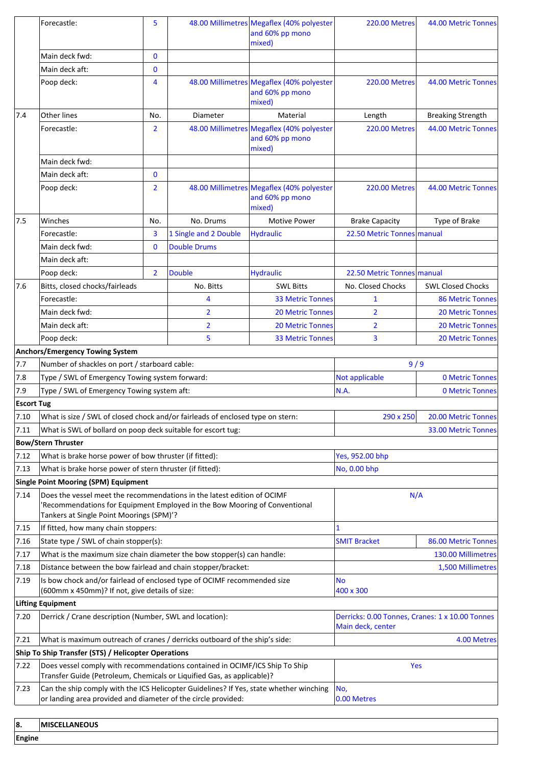|                   | Forecastle:                                                                                                                                                                                      | 5              |                       | 48.00 Millimetres Megaflex (40% polyester<br>and 60% pp mono<br>mixed) | <b>220.00 Metres</b>                                                 | 44.00 Metric Tonnes      |
|-------------------|--------------------------------------------------------------------------------------------------------------------------------------------------------------------------------------------------|----------------|-----------------------|------------------------------------------------------------------------|----------------------------------------------------------------------|--------------------------|
|                   | Main deck fwd:                                                                                                                                                                                   | $\bf{0}$       |                       |                                                                        |                                                                      |                          |
|                   | Main deck aft:                                                                                                                                                                                   | $\mathbf{0}$   |                       |                                                                        |                                                                      |                          |
|                   | Poop deck:                                                                                                                                                                                       | 4              |                       | 48.00 Millimetres Megaflex (40% polyester<br>and 60% pp mono<br>mixed) | <b>220.00 Metres</b>                                                 | 44.00 Metric Tonnes      |
| 7.4               | Other lines                                                                                                                                                                                      | No.            | Diameter              | Material                                                               | Length                                                               | <b>Breaking Strength</b> |
|                   | Forecastle:                                                                                                                                                                                      | $\overline{2}$ |                       | 48.00 Millimetres Megaflex (40% polyester<br>and 60% pp mono<br>mixed) | <b>220.00 Metres</b>                                                 | 44.00 Metric Tonnes      |
|                   | Main deck fwd:                                                                                                                                                                                   |                |                       |                                                                        |                                                                      |                          |
|                   | Main deck aft:                                                                                                                                                                                   | $\mathbf{0}$   |                       |                                                                        |                                                                      |                          |
|                   | Poop deck:                                                                                                                                                                                       | $\overline{2}$ |                       | 48.00 Millimetres Megaflex (40% polyester<br>and 60% pp mono<br>mixed) | <b>220.00 Metres</b>                                                 | 44.00 Metric Tonnes      |
| 7.5               | Winches                                                                                                                                                                                          | No.            | No. Drums             | <b>Motive Power</b>                                                    | <b>Brake Capacity</b>                                                | Type of Brake            |
|                   | Forecastle:                                                                                                                                                                                      | 3              | 1 Single and 2 Double | <b>Hydraulic</b>                                                       | 22.50 Metric Tonnes manual                                           |                          |
|                   | Main deck fwd:                                                                                                                                                                                   | $\bf{0}$       | <b>Double Drums</b>   |                                                                        |                                                                      |                          |
|                   | Main deck aft:                                                                                                                                                                                   |                |                       |                                                                        |                                                                      |                          |
|                   | Poop deck:                                                                                                                                                                                       | $\overline{2}$ | <b>Double</b>         | <b>Hydraulic</b>                                                       | 22.50 Metric Tonnes manual                                           |                          |
| 7.6               | Bitts, closed chocks/fairleads                                                                                                                                                                   |                | No. Bitts             | <b>SWL Bitts</b>                                                       | No. Closed Chocks                                                    | <b>SWL Closed Chocks</b> |
|                   | Forecastle:                                                                                                                                                                                      |                | 4                     | <b>33 Metric Tonnes</b>                                                | 1                                                                    | <b>86 Metric Tonnes</b>  |
|                   | Main deck fwd:                                                                                                                                                                                   |                | $\overline{2}$        | <b>20 Metric Tonnes</b>                                                | $\overline{2}$                                                       | <b>20 Metric Tonnes</b>  |
|                   | Main deck aft:                                                                                                                                                                                   |                | 2                     | <b>20 Metric Tonnes</b>                                                | $\overline{2}$                                                       | <b>20 Metric Tonnes</b>  |
|                   | Poop deck:                                                                                                                                                                                       |                | 5                     | <b>33 Metric Tonnes</b>                                                | 3                                                                    | <b>20 Metric Tonnes</b>  |
|                   | Anchors/Emergency Towing System                                                                                                                                                                  |                |                       |                                                                        |                                                                      |                          |
| 7.7               | Number of shackles on port / starboard cable:                                                                                                                                                    |                |                       |                                                                        | 9/9                                                                  |                          |
| 7.8               | Type / SWL of Emergency Towing system forward:                                                                                                                                                   |                |                       |                                                                        | Not applicable                                                       | <b>0 Metric Tonnes</b>   |
| 7.9               | Type / SWL of Emergency Towing system aft:                                                                                                                                                       |                |                       |                                                                        | N.A.                                                                 | <b>0 Metric Tonnes</b>   |
| <b>Escort Tug</b> |                                                                                                                                                                                                  |                |                       |                                                                        |                                                                      |                          |
| 7.10              | What is size / SWL of closed chock and/or fairleads of enclosed type on stern:                                                                                                                   |                |                       |                                                                        | 290 x 250                                                            | 20.00 Metric Tonnes      |
| 7.11              | What is SWL of bollard on poop deck suitable for escort tug:                                                                                                                                     |                |                       |                                                                        |                                                                      | 33.00 Metric Tonnes      |
|                   | <b>Bow/Stern Thruster</b>                                                                                                                                                                        |                |                       |                                                                        |                                                                      |                          |
| 7.12              | What is brake horse power of bow thruster (if fitted):                                                                                                                                           |                |                       |                                                                        | Yes, 952.00 bhp                                                      |                          |
| 7.13              | What is brake horse power of stern thruster (if fitted):                                                                                                                                         |                |                       |                                                                        | No, 0.00 bhp                                                         |                          |
|                   | <b>Single Point Mooring (SPM) Equipment</b>                                                                                                                                                      |                |                       |                                                                        |                                                                      |                          |
| 7.14              | Does the vessel meet the recommendations in the latest edition of OCIMF<br>Recommendations for Equipment Employed in the Bow Mooring of Conventional<br>Tankers at Single Point Moorings (SPM)'? |                |                       |                                                                        | N/A                                                                  |                          |
| 7.15              | If fitted, how many chain stoppers:                                                                                                                                                              |                |                       |                                                                        | 1                                                                    |                          |
| 7.16              | State type / SWL of chain stopper(s):                                                                                                                                                            |                |                       |                                                                        | <b>SMIT Bracket</b>                                                  | 86.00 Metric Tonnes      |
| 7.17              | What is the maximum size chain diameter the bow stopper(s) can handle:                                                                                                                           |                |                       |                                                                        |                                                                      | 130.00 Millimetres       |
| 7.18              | Distance between the bow fairlead and chain stopper/bracket:                                                                                                                                     |                |                       |                                                                        |                                                                      | 1,500 Millimetres        |
| 7.19              | Is bow chock and/or fairlead of enclosed type of OCIMF recommended size<br>(600mm x 450mm)? If not, give details of size:                                                                        |                |                       |                                                                        | <b>No</b><br>400 x 300                                               |                          |
| 7.20              | Lifting Equipment<br>Derrick / Crane description (Number, SWL and location):                                                                                                                     |                |                       |                                                                        | Derricks: 0.00 Tonnes, Cranes: 1 x 10.00 Tonnes<br>Main deck, center |                          |
| 7.21              | What is maximum outreach of cranes / derricks outboard of the ship's side:<br>4.00 Metres                                                                                                        |                |                       |                                                                        |                                                                      |                          |
|                   | Ship To Ship Transfer (STS) / Helicopter Operations                                                                                                                                              |                |                       |                                                                        |                                                                      |                          |
| 7.22              | Does vessel comply with recommendations contained in OCIMF/ICS Ship To Ship<br>Transfer Guide (Petroleum, Chemicals or Liquified Gas, as applicable)?                                            |                |                       |                                                                        | Yes                                                                  |                          |
| 7.23              | Can the ship comply with the ICS Helicopter Guidelines? If Yes, state whether winching<br>or landing area provided and diameter of the circle provided:                                          |                |                       |                                                                        | No,<br>0.00 Metres                                                   |                          |
| 8.                | <b>MISCELLANEOUS</b>                                                                                                                                                                             |                |                       |                                                                        |                                                                      |                          |